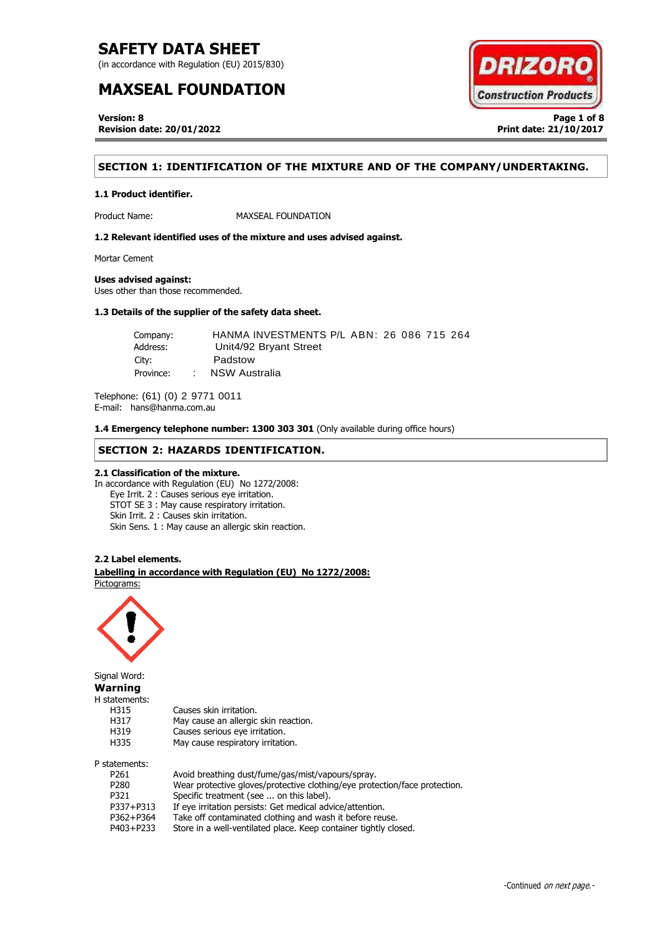(in accordance with Regulation (EU) 2015/830)

# **MAXSEAL FOUNDATION**



**Version: 8 Page 1 of 8 Revision date: 20/01/2022 Print date: 21/10/2017**

# **SECTION 1: IDENTIFICATION OF THE MIXTURE AND OF THE COMPANY/UNDERTAKING.**

### **1.1 Product identifier.**

Product Name: MAXSEAL FOUNDATION

**1.2 Relevant identified uses of the mixture and uses advised against.**

Mortar Cement

### **Uses advised against:**

Uses other than those recommended.

### **1.3 Details of the supplier of the safety data sheet.**

| Company:  |                        | HANMA INVESTMENTS P/L ABN: 26 086 715 264 |  |
|-----------|------------------------|-------------------------------------------|--|
| Address:  | Unit4/92 Bryant Street |                                           |  |
| City:     |                        | Padstow                                   |  |
| Province: | <b>Property</b>        | NSW Australia                             |  |

Telephone: (61) (0) 2 9771 0011 E-mail: hans@hanma.com.au

**1.4 Emergency telephone number: 1300 303 301** (Only available during office hours)

### **SECTION 2: HAZARDS IDENTIFICATION.**

### **2.1 Classification of the mixture.**

In accordance with Regulation (EU) No 1272/2008: Eye Irrit. 2 : Causes serious eye irritation. STOT SE 3 : May cause respiratory irritation. Skin Irrit. 2 : Causes skin irritation. Skin Sens. 1 : May cause an allergic skin reaction.

### **2.2 Label elements.**

. **Labelling in accordance with Regulation (EU) No 1272/2008:** Pictograms:

May cause an allergic skin reaction.



Signal Word: **Warning** H statements: H315 Causes skin irritation.<br>H317 May cause an allergic H319 Causes serious eye irritation. H335 May cause respiratory irritation. P statements:

| P <sub>261</sub> | Avoid breathing dust/fume/gas/mist/vapours/spray.                          |
|------------------|----------------------------------------------------------------------------|
| P <sub>280</sub> | Wear protective gloves/protective clothing/eye protection/face protection. |
| P321             | Specific treatment (see  on this label).                                   |
| P337+P313        | If eve irritation persists: Get medical advice/attention.                  |
| P362+P364        | Take off contaminated clothing and wash it before reuse.                   |
| P403+P233        | Store in a well-ventilated place. Keep container tightly closed.           |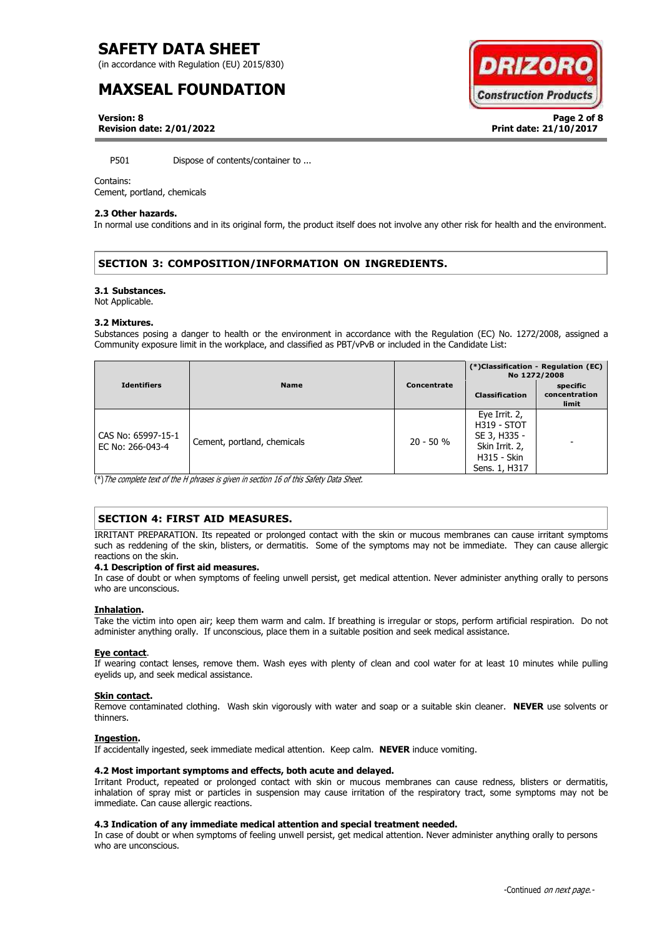(in accordance with Regulation (EU) 2015/830)

# **MAXSEAL FOUNDATION**

**DRIZOR Construction Products** 

**Version: 8 Page 2 of 8 Revision date: 2/01/2022 Print date: 21/10/2017**

P501 Dispose of contents/container to ...

#### Contains:

Cement, portland, chemicals

#### **2.3 Other hazards.**

In normal use conditions and in its original form, the product itself does not involve any other risk for health and the environment.

# **SECTION 3: COMPOSITION/INFORMATION ON INGREDIENTS.**

#### **3.1 Substances.**

Not Applicable.

#### **3.2 Mixtures.**

Substances posing a danger to health or the environment in accordance with the Regulation (EC) No. 1272/2008, assigned a Community exposure limit in the workplace, and classified as PBT/vPvB or included in the Candidate List:

|                                        |                             |             | (*)Classification - Regulation (EC)<br>No 1272/2008                                                          |                                    |
|----------------------------------------|-----------------------------|-------------|--------------------------------------------------------------------------------------------------------------|------------------------------------|
| <b>Identifiers</b>                     | <b>Name</b>                 | Concentrate | Classification                                                                                               | specific<br>concentration<br>limit |
| CAS No: 65997-15-1<br>EC No: 266-043-4 | Cement, portland, chemicals | $20 - 50 %$ | Eye Irrit. 2,<br><b>H319 - STOT</b><br>SE 3, H335 -<br>Skin Irrit. 2,<br><b>H315 - Skin</b><br>Sens. 1, H317 |                                    |

(\*)The complete text of the H phrases is given in section 16 of this Safety Data Sheet.

### **SECTION 4: FIRST AID MEASURES.**

IRRITANT PREPARATION. Its repeated or prolonged contact with the skin or mucous membranes can cause irritant symptoms such as reddening of the skin, blisters, or dermatitis. Some of the symptoms may not be immediate. They can cause allergic reactions on the skin.

### **4.1 Description of first aid measures.**

In case of doubt or when symptoms of feeling unwell persist, get medical attention. Never administer anything orally to persons who are unconscious.

### **Inhalation.**

Take the victim into open air; keep them warm and calm. If breathing is irregular or stops, perform artificial respiration. Do not administer anything orally. If unconscious, place them in a suitable position and seek medical assistance.

### **Eye contact**.

If wearing contact lenses, remove them. Wash eyes with plenty of clean and cool water for at least 10 minutes while pulling eyelids up, and seek medical assistance.

### **Skin contact.**

Remove contaminated clothing. Wash skin vigorously with water and soap or a suitable skin cleaner. **NEVER** use solvents or thinners.

### **Ingestion.**

If accidentally ingested, seek immediate medical attention. Keep calm. **NEVER** induce vomiting.

### **4.2 Most important symptoms and effects, both acute and delayed.**

Irritant Product, repeated or prolonged contact with skin or mucous membranes can cause redness, blisters or dermatitis, inhalation of spray mist or particles in suspension may cause irritation of the respiratory tract, some symptoms may not be immediate. Can cause allergic reactions.

### **4.3 Indication of any immediate medical attention and special treatment needed.**

In case of doubt or when symptoms of feeling unwell persist, get medical attention. Never administer anything orally to persons who are unconscious.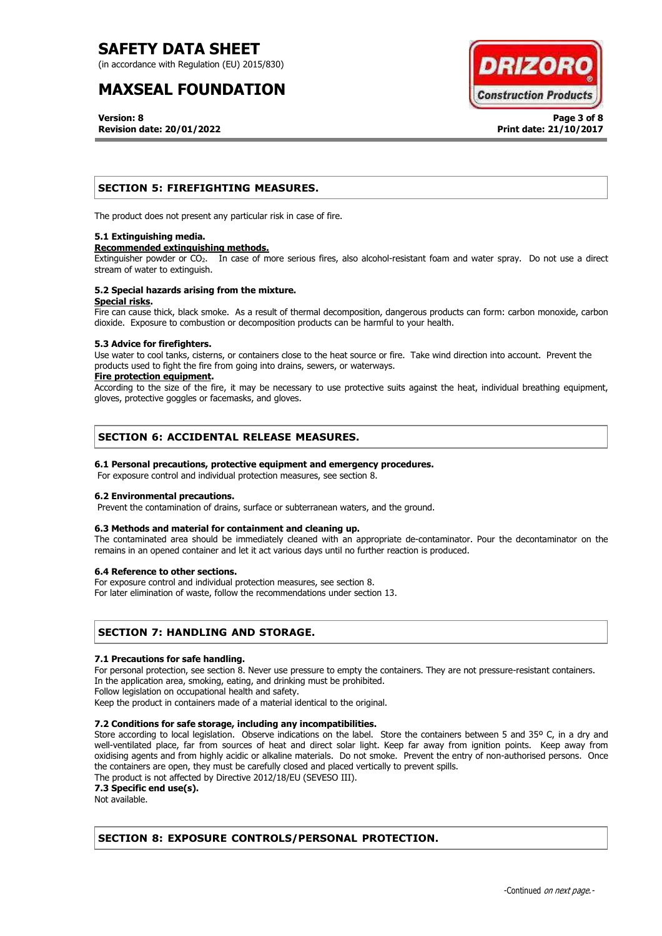(in accordance with Regulation (EU) 2015/830)

# **MAXSEAL FOUNDATION**



**Version: 8 Page 3 of 8 Revision date: 20/01/2022 Print date: 21/10/2017**

### **SECTION 5: FIREFIGHTING MEASURES.**

The product does not present any particular risk in case of fire.

### **5.1 Extinguishing media.**

### **Recommended extinguishing methods.**

Extinguisher powder or CO<sub>2</sub>. In case of more serious fires, also alcohol-resistant foam and water spray. Do not use a direct stream of water to extinguish.

#### **5.2 Special hazards arising from the mixture. Special risks.**

Fire can cause thick, black smoke. As a result of thermal decomposition, dangerous products can form: carbon monoxide, carbon dioxide. Exposure to combustion or decomposition products can be harmful to your health.

### **5.3 Advice for firefighters.**

Use water to cool tanks, cisterns, or containers close to the heat source or fire. Take wind direction into account. Prevent the products used to fight the fire from going into drains, sewers, or waterways.

### **Fire protection equipment.**

According to the size of the fire, it may be necessary to use protective suits against the heat, individual breathing equipment, gloves, protective goggles or facemasks, and gloves.

### **SECTION 6: ACCIDENTAL RELEASE MEASURES.**

### **6.1 Personal precautions, protective equipment and emergency procedures.**

For exposure control and individual protection measures, see section 8.

### **6.2 Environmental precautions.**

Prevent the contamination of drains, surface or subterranean waters, and the ground.

### **6.3 Methods and material for containment and cleaning up.**

The contaminated area should be immediately cleaned with an appropriate de-contaminator. Pour the decontaminator on the remains in an opened container and let it act various days until no further reaction is produced.

### **6.4 Reference to other sections.**

For exposure control and individual protection measures, see section 8.

For later elimination of waste, follow the recommendations under section 13.

### **SECTION 7: HANDLING AND STORAGE.**

### **7.1 Precautions for safe handling.**

For personal protection, see section 8. Never use pressure to empty the containers. They are not pressure-resistant containers. In the application area, smoking, eating, and drinking must be prohibited.

Follow legislation on occupational health and safety.

Keep the product in containers made of a material identical to the original.

### **7.2 Conditions for safe storage, including any incompatibilities.**

Store according to local legislation. Observe indications on the label. Store the containers between 5 and 35° C, in a dry and well-ventilated place, far from sources of heat and direct solar light. Keep far away from ignition points. Keep away from oxidising agents and from highly acidic or alkaline materials. Do not smoke. Prevent the entry of non-authorised persons. Once the containers are open, they must be carefully closed and placed vertically to prevent spills.

The product is not affected by Directive 2012/18/EU (SEVESO III).

**7.3 Specific end use(s).**

Not available.

### **SECTION 8: EXPOSURE CONTROLS/PERSONAL PROTECTION.**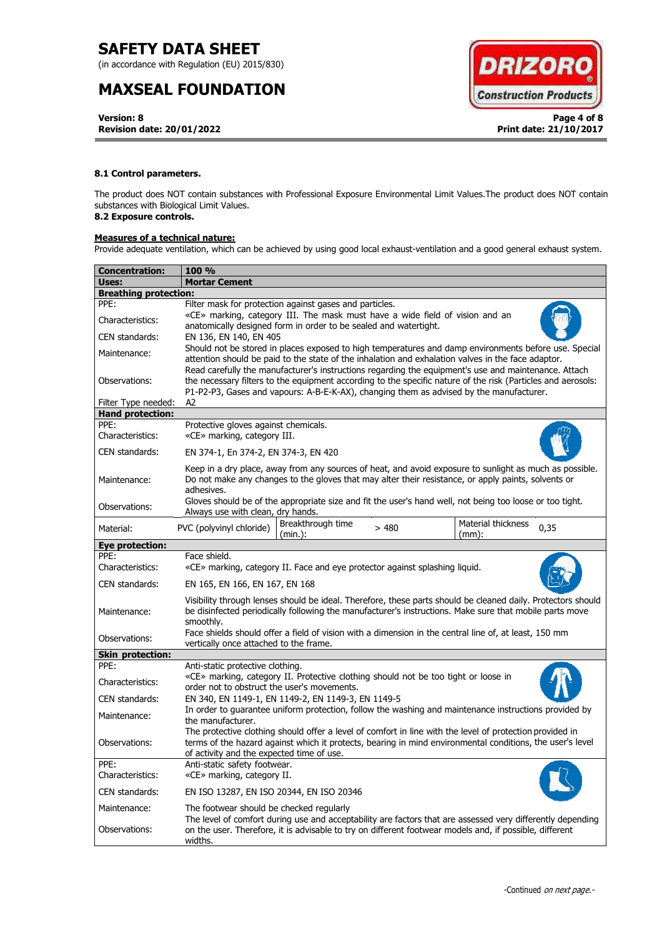(in accordance with Regulation (EU) 2015/830)

# **MAXSEAL FOUNDATION**

**Version: 8 Page 4 of 8 Revision date: 20/01/2022 Print date: 21/10/2017**



### **8.1 Control parameters.**

The product does NOT contain substances with Professional Exposure Environmental Limit Values.The product does NOT contain substances with Biological Limit Values.

# **8.2 Exposure controls.**

### **Measures of a technical nature:**

Provide adequate ventilation, which can be achieved by using good local exhaust-ventilation and a good general exhaust system.

| Concentration:               | <b>100 %</b>                                                                                                                                                                                                                                                                                                    |  |  |  |  |
|------------------------------|-----------------------------------------------------------------------------------------------------------------------------------------------------------------------------------------------------------------------------------------------------------------------------------------------------------------|--|--|--|--|
| Uses:                        | <b>Mortar Cement</b>                                                                                                                                                                                                                                                                                            |  |  |  |  |
| <b>Breathing protection:</b> |                                                                                                                                                                                                                                                                                                                 |  |  |  |  |
| PPE:                         | Filter mask for protection against gases and particles.                                                                                                                                                                                                                                                         |  |  |  |  |
| Characteristics:             | «CE» marking, category III. The mask must have a wide field of vision and an<br>anatomically designed form in order to be sealed and watertight.                                                                                                                                                                |  |  |  |  |
| CEN standards:               | EN 136, EN 140, EN 405                                                                                                                                                                                                                                                                                          |  |  |  |  |
| Maintenance:                 | Should not be stored in places exposed to high temperatures and damp environments before use. Special<br>attention should be paid to the state of the inhalation and exhalation valves in the face adaptor.                                                                                                     |  |  |  |  |
| Observations:                | Read carefully the manufacturer's instructions regarding the equipment's use and maintenance. Attach<br>the necessary filters to the equipment according to the specific nature of the risk (Particles and aerosols:<br>P1-P2-P3, Gases and vapours: A-B-E-K-AX), changing them as advised by the manufacturer. |  |  |  |  |
| Filter Type needed:          | A2                                                                                                                                                                                                                                                                                                              |  |  |  |  |
| <b>Hand protection:</b>      |                                                                                                                                                                                                                                                                                                                 |  |  |  |  |
| PPE:<br>Characteristics:     | Protective gloves against chemicals.<br>«CE» marking, category III.                                                                                                                                                                                                                                             |  |  |  |  |
| CEN standards:               | EN 374-1, En 374-2, EN 374-3, EN 420                                                                                                                                                                                                                                                                            |  |  |  |  |
| Maintenance:                 | Keep in a dry place, away from any sources of heat, and avoid exposure to sunlight as much as possible.<br>Do not make any changes to the gloves that may alter their resistance, or apply paints, solvents or<br>adhesives.                                                                                    |  |  |  |  |
| Observations:                | Gloves should be of the appropriate size and fit the user's hand well, not being too loose or too tight.<br>Always use with clean, dry hands.                                                                                                                                                                   |  |  |  |  |
| Material:                    | Breakthrough time<br>Material thickness<br>PVC (polyvinyl chloride)<br>0,35<br>>480<br>(min.):<br>$(mm)$ :                                                                                                                                                                                                      |  |  |  |  |
| <b>Eye protection:</b>       |                                                                                                                                                                                                                                                                                                                 |  |  |  |  |
| PPE:<br>Characteristics:     | Face shield.<br>«CE» marking, category II. Face and eye protector against splashing liquid.                                                                                                                                                                                                                     |  |  |  |  |
| CEN standards:               | EN 165, EN 166, EN 167, EN 168                                                                                                                                                                                                                                                                                  |  |  |  |  |
| Maintenance:                 | Visibility through lenses should be ideal. Therefore, these parts should be cleaned daily. Protectors should<br>be disinfected periodically following the manufacturer's instructions. Make sure that mobile parts move<br>smoothly.                                                                            |  |  |  |  |
| Observations:                | Face shields should offer a field of vision with a dimension in the central line of, at least, 150 mm<br>vertically once attached to the frame.                                                                                                                                                                 |  |  |  |  |
| <b>Skin protection:</b>      |                                                                                                                                                                                                                                                                                                                 |  |  |  |  |
| PPE:                         | Anti-static protective clothing.                                                                                                                                                                                                                                                                                |  |  |  |  |
| Characteristics:             | «CE» marking, category II. Protective clothing should not be too tight or loose in<br>order not to obstruct the user's movements.                                                                                                                                                                               |  |  |  |  |
| CEN standards:               | EN 340, EN 1149-1, EN 1149-2, EN 1149-3, EN 1149-5                                                                                                                                                                                                                                                              |  |  |  |  |
| Maintenance:                 | In order to guarantee uniform protection, follow the washing and maintenance instructions provided by<br>the manufacturer.                                                                                                                                                                                      |  |  |  |  |
| Observations:                | The protective clothing should offer a level of comfort in line with the level of protection provided in<br>terms of the hazard against which it protects, bearing in mind environmental conditions, the user's level<br>of activity and the expected time of use.                                              |  |  |  |  |
| PPE:<br>Characteristics:     | Anti-static safety footwear.<br>«CE» marking, category II.                                                                                                                                                                                                                                                      |  |  |  |  |
| CEN standards:               | EN ISO 13287, EN ISO 20344, EN ISO 20346                                                                                                                                                                                                                                                                        |  |  |  |  |
| Maintenance:                 | The footwear should be checked regularly                                                                                                                                                                                                                                                                        |  |  |  |  |
| Observations:                | The level of comfort during use and acceptability are factors that are assessed very differently depending<br>on the user. Therefore, it is advisable to try on different footwear models and, if possible, different<br>widths.                                                                                |  |  |  |  |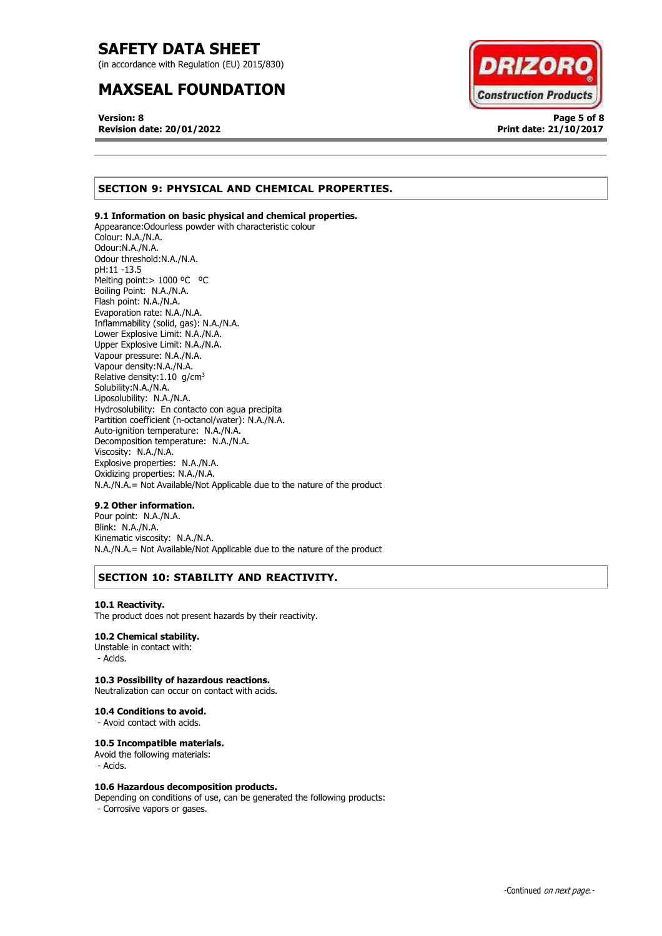(in accordance with Regulation (EU) 2015/830)

# **MAXSEAL FOUNDATION**

**Version: 8 Page 5 of 8 Revision date: 20/01/2022 Print date: 21/10/2017**



# **SECTION 9: PHYSICAL AND CHEMICAL PROPERTIES.**

### **9.1 Information on basic physical and chemical properties.**

Appearance:Odourless powder with characteristic colour Colour: N.A./N.A. Odour:N.A./N.A. Odour threshold:N.A./N.A. pH:11 -13.5 Melting point: > 1000 °C °C Boiling Point: N.A./N.A. Flash point: N.A./N.A. Evaporation rate: N.A./N.A. Inflammability (solid, gas): N.A./N.A. Lower Explosive Limit: N.A./N.A. Upper Explosive Limit: N.A./N.A. Vapour pressure: N.A./N.A. Vapour density:N.A./N.A. Relative density:  $1.10$  g/cm<sup>3</sup> Solubility:N.A./N.A. Liposolubility: N.A./N.A. Hydrosolubility: En contacto con agua precipita Partition coefficient (n-octanol/water): N.A./N.A. Auto-ignition temperature: N.A./N.A. Decomposition temperature: N.A./N.A. Viscosity: N.A./N.A. Explosive properties: N.A./N.A. Oxidizing properties: N.A./N.A. N.A./N.A.= Not Available/Not Applicable due to the nature of the product

### **9.2 Other information.**

Pour point: N.A./N.A. Blink: N.A./N.A. Kinematic viscosity: N.A./N.A. N.A./N.A.= Not Available/Not Applicable due to the nature of the product

# **SECTION 10: STABILITY AND REACTIVITY.**

#### **10.1 Reactivity.**

The product does not present hazards by their reactivity.

### **10.2 Chemical stability.**

Unstable in contact with: - Acids.

### **10.3 Possibility of hazardous reactions.**

Neutralization can occur on contact with acids.

### **10.4 Conditions to avoid.**

- Avoid contact with acids.

### **10.5 Incompatible materials.**

Avoid the following materials: - Acids.

### **10.6 Hazardous decomposition products.**

Depending on conditions of use, can be generated the following products: - Corrosive vapors or gases.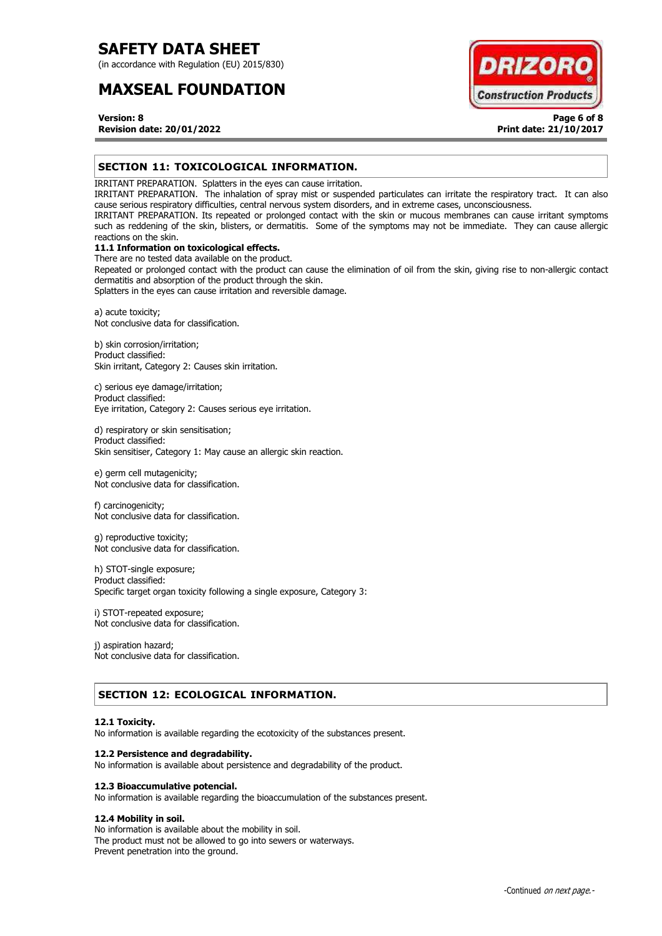(in accordance with Regulation (EU) 2015/830)

# **MAXSEAL FOUNDATION**



**Version: 8 Page 6 of 8 Revision date: 20/01/2022 Print date: 21/10/2017**

### **SECTION 11: TOXICOLOGICAL INFORMATION.**

IRRITANT PREPARATION. Splatters in the eyes can cause irritation.

IRRITANT PREPARATION. The inhalation of spray mist or suspended particulates can irritate the respiratory tract. It can also cause serious respiratory difficulties, central nervous system disorders, and in extreme cases, unconsciousness.

IRRITANT PREPARATION. Its repeated or prolonged contact with the skin or mucous membranes can cause irritant symptoms such as reddening of the skin, blisters, or dermatitis. Some of the symptoms may not be immediate. They can cause allergic reactions on the skin.

# **11.1 Information on toxicological effects.**

There are no tested data available on the product. Repeated or prolonged contact with the product can cause the elimination of oil from the skin, giving rise to non-allergic contact dermatitis and absorption of the product through the skin.

Splatters in the eyes can cause irritation and reversible damage.

a) acute toxicity; Not conclusive data for classification.

b) skin corrosion/irritation; Product classified: Skin irritant, Category 2: Causes skin irritation.

c) serious eye damage/irritation; Product classified: Eye irritation, Category 2: Causes serious eye irritation.

d) respiratory or skin sensitisation; Product classified: Skin sensitiser, Category 1: May cause an allergic skin reaction.

e) germ cell mutagenicity; Not conclusive data for classification.

f) carcinogenicity; Not conclusive data for classification.

g) reproductive toxicity; Not conclusive data for classification.

h) STOT-single exposure; Product classified: Specific target organ toxicity following a single exposure, Category 3:

i) STOT-repeated exposure; Not conclusive data for classification.

j) aspiration hazard; Not conclusive data for classification.

### **SECTION 12: ECOLOGICAL INFORMATION.**

### **12.1 Toxicity.**

No information is available regarding the ecotoxicity of the substances present.

### **12.2 Persistence and degradability.**

No information is available about persistence and degradability of the product.

### **12.3 Bioaccumulative potencial.**

No information is available regarding the bioaccumulation of the substances present.

### **12.4 Mobility in soil.**

No information is available about the mobility in soil. The product must not be allowed to go into sewers or waterways. Prevent penetration into the ground.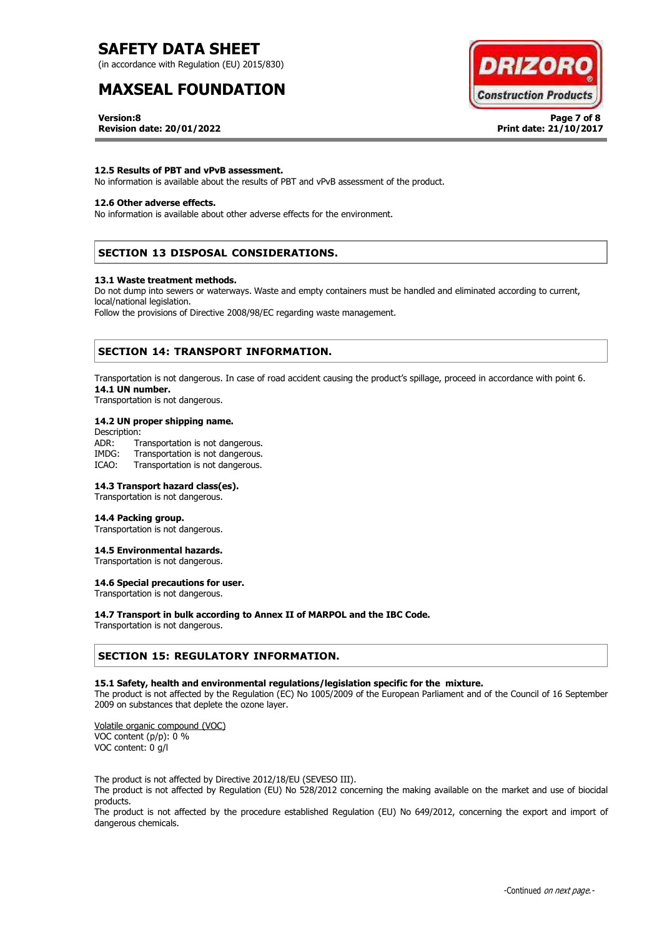(in accordance with Regulation (EU) 2015/830)

# **MAXSEAL FOUNDATION**



**Version:8 Page 7 of 8 Revision date: 20/01/2022 Print date: 21/10/2017**

#### **12.5 Results of PBT and vPvB assessment.**

No information is available about the results of PBT and vPvB assessment of the product.

### **12.6 Other adverse effects.**

No information is available about other adverse effects for the environment.

### **SECTION 13 DISPOSAL CONSIDERATIONS.**

#### **13.1 Waste treatment methods.**

Do not dump into sewers or waterways. Waste and empty containers must be handled and eliminated according to current, local/national legislation.

Follow the provisions of Directive 2008/98/EC regarding waste management.

### **SECTION 14: TRANSPORT INFORMATION.**

Transportation is not dangerous. In case of road accident causing the product's spillage, proceed in accordance with point 6. **14.1 UN number.**

Transportation is not dangerous.

### **14.2 UN proper shipping name.**

Description: ADR: Transportation is not dangerous.<br>IMDG: Transportation is not dangerous. Transportation is not dangerous. ICAO: Transportation is not dangerous.

#### **14.3 Transport hazard class(es).**

Transportation is not dangerous.

#### **14.4 Packing group.**

Transportation is not dangerous.

#### **14.5 Environmental hazards.**

Transportation is not dangerous.

### **14.6 Special precautions for user.**

Transportation is not dangerous.

### **14.7 Transport in bulk according to Annex II of MARPOL and the IBC Code.**

Transportation is not dangerous.

### **SECTION 15: REGULATORY INFORMATION.**

#### **15.1 Safety, health and environmental regulations/legislation specific for the mixture.**

The product is not affected by the Regulation (EC) No 1005/2009 of the European Parliament and of the Council of 16 September 2009 on substances that deplete the ozone layer.

Volatile organic compound (VOC) VOC content (p/p): 0 % VOC content: 0 g/l

The product is not affected by Directive 2012/18/EU (SEVESO III).

The product is not affected by Regulation (EU) No 528/2012 concerning the making available on the market and use of biocidal products.

The product is not affected by the procedure established Regulation (EU) No 649/2012, concerning the export and import of dangerous chemicals.